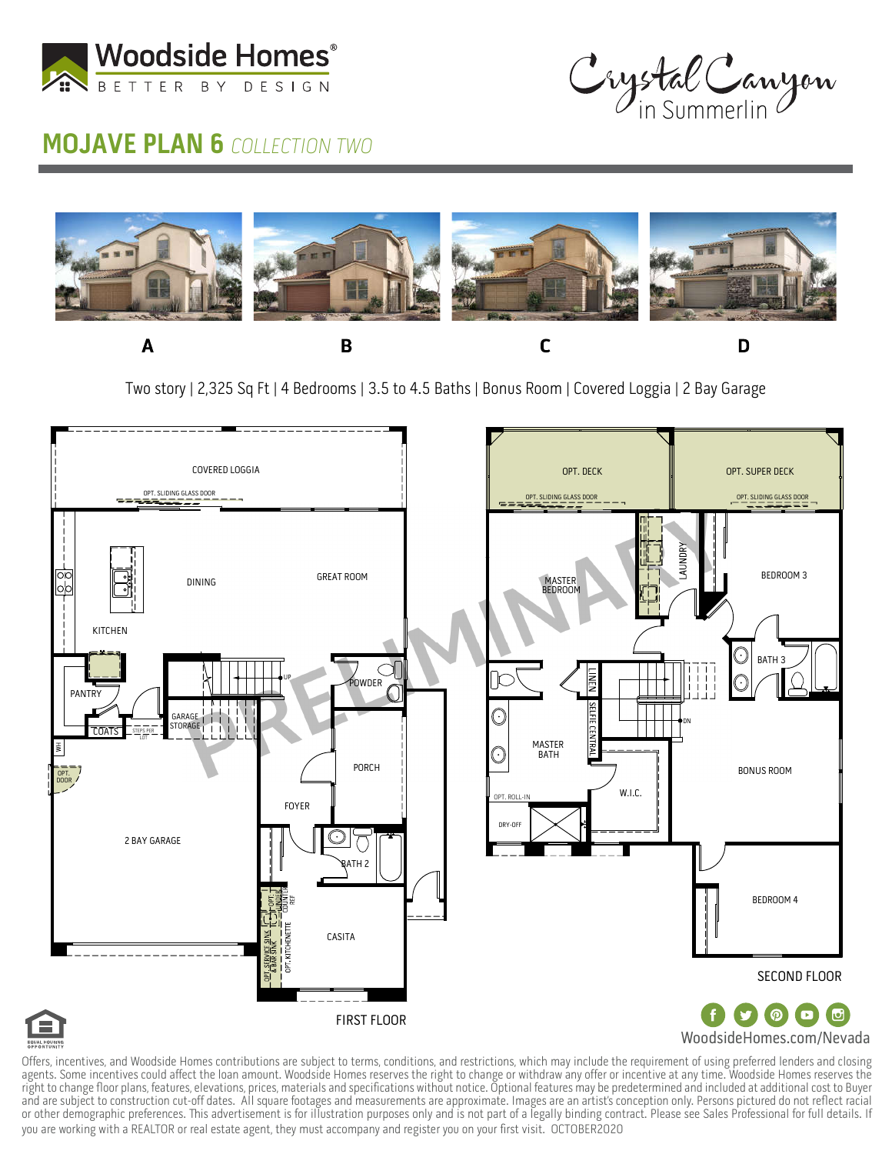



## **MOJAVE PLAN 6 COLLECTION TWO**



Two story | 2,325 Sq Ft | 4 Bedrooms | 3.5 to 4.5 Baths | Bonus Room | Covered Loggia | 2 Bay Garage



Offers, incentives, and Woodside Homes contributions are subject to terms, conditions, and restrictions, which may include the requirement of using preferred lenders and closing agents. Some incentives could affect the loan amount. Woodside Homes reserves the right to change or withdraw any offer or incentive at any time. Woodside Homes reserves the right to change floor plans, features, elevations, prices, materials and specifications without notice. Optional features may be predetermined and included at additional cost to Buyer and are subject to construction cut-off dates. All square footages and measurements are approximate. Images are an artist's conception only. Persons pictured do not reflect racial or other demographic preferences. This advertisement is for illustration purposes only and is not part of a legally binding contract. Please see Sales Professional for full details. If you are working with a REALTOR or real estate agent, they must accompany and register you on your first visit. OCTOBER2020